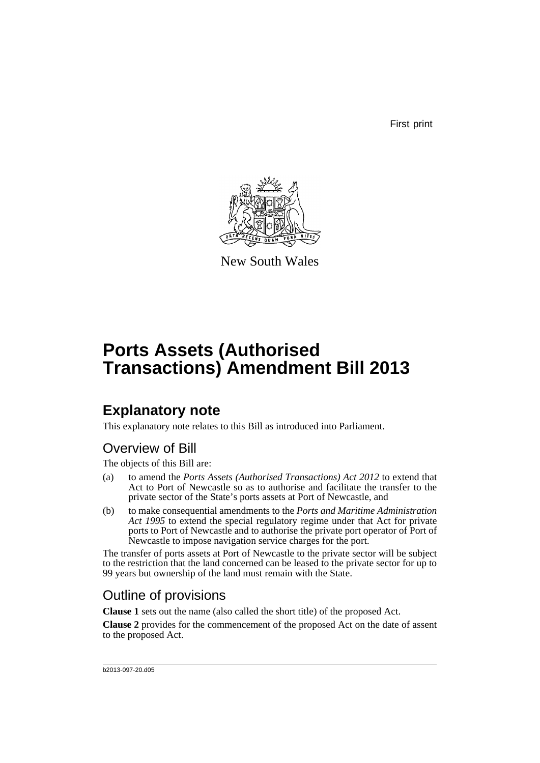First print



New South Wales

# **Ports Assets (Authorised Transactions) Amendment Bill 2013**

## **Explanatory note**

This explanatory note relates to this Bill as introduced into Parliament.

## Overview of Bill

The objects of this Bill are:

- (a) to amend the *Ports Assets (Authorised Transactions) Act 2012* to extend that Act to Port of Newcastle so as to authorise and facilitate the transfer to the private sector of the State's ports assets at Port of Newcastle, and
- (b) to make consequential amendments to the *Ports and Maritime Administration Act 1995* to extend the special regulatory regime under that Act for private ports to Port of Newcastle and to authorise the private port operator of Port of Newcastle to impose navigation service charges for the port.

The transfer of ports assets at Port of Newcastle to the private sector will be subject to the restriction that the land concerned can be leased to the private sector for up to 99 years but ownership of the land must remain with the State.

## Outline of provisions

**Clause 1** sets out the name (also called the short title) of the proposed Act.

**Clause 2** provides for the commencement of the proposed Act on the date of assent to the proposed Act.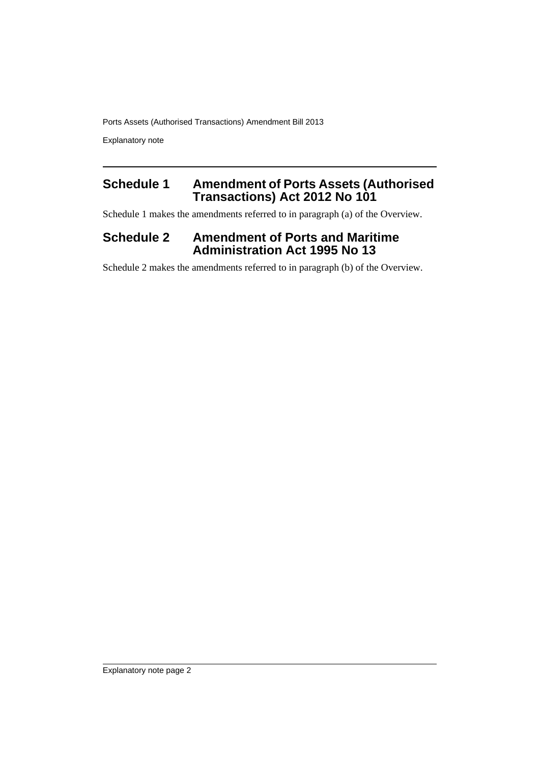Explanatory note

### **Schedule 1 Amendment of Ports Assets (Authorised Transactions) Act 2012 No 101**

Schedule 1 makes the amendments referred to in paragraph (a) of the Overview.

### **Schedule 2 Amendment of Ports and Maritime Administration Act 1995 No 13**

Schedule 2 makes the amendments referred to in paragraph (b) of the Overview.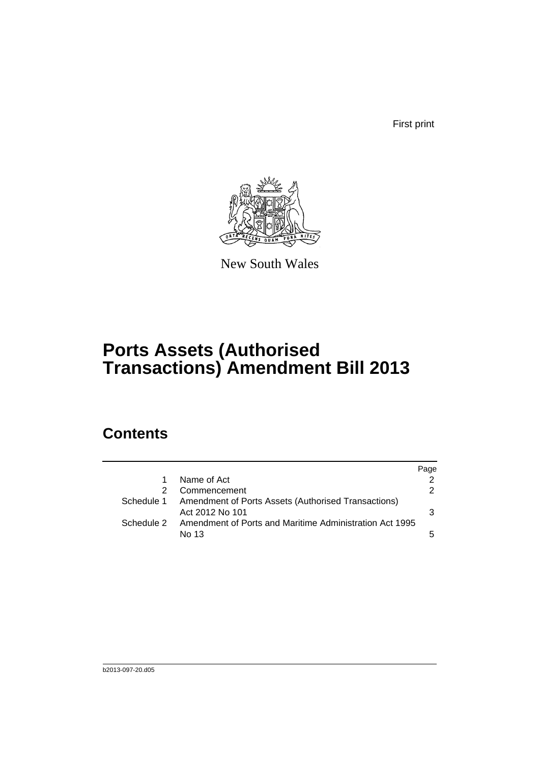First print



New South Wales

# **Ports Assets (Authorised Transactions) Amendment Bill 2013**

## **Contents**

|            |                                                                                   | Page          |
|------------|-----------------------------------------------------------------------------------|---------------|
| 1          | Name of Act                                                                       |               |
| 2          | Commencement                                                                      | $\mathcal{P}$ |
|            | Schedule 1 Amendment of Ports Assets (Authorised Transactions)<br>Act 2012 No 101 | 3             |
| Schedule 2 | Amendment of Ports and Maritime Administration Act 1995<br>No 13                  | 5.            |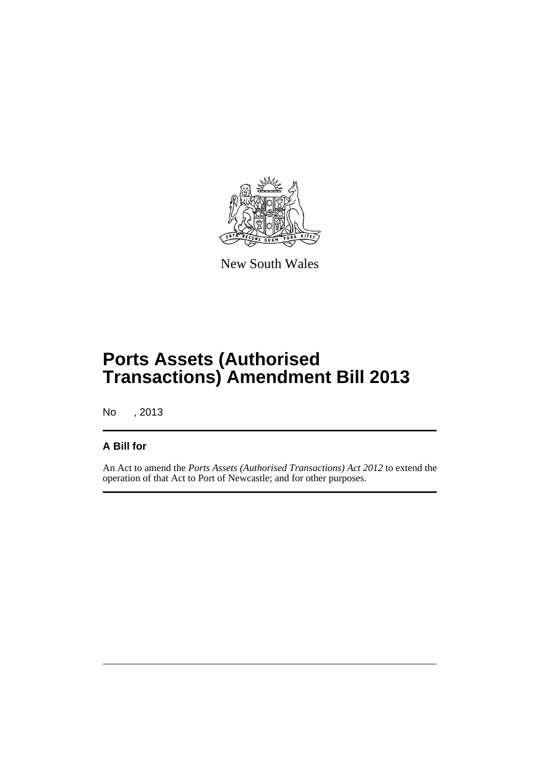

New South Wales

## **Ports Assets (Authorised Transactions) Amendment Bill 2013**

No , 2013

#### **A Bill for**

An Act to amend the *Ports Assets (Authorised Transactions) Act 2012* to extend the operation of that Act to Port of Newcastle; and for other purposes.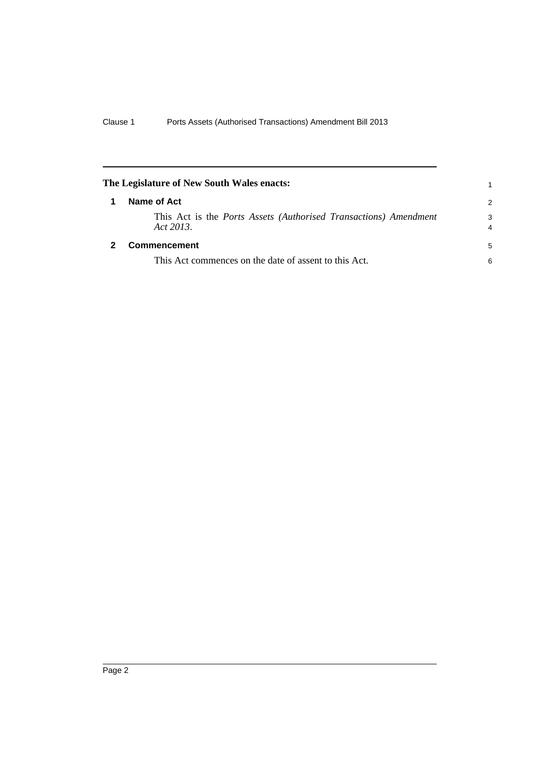<span id="page-5-1"></span><span id="page-5-0"></span>

| The Legislature of New South Wales enacts: |                                                                               |               |
|--------------------------------------------|-------------------------------------------------------------------------------|---------------|
|                                            | Name of Act                                                                   | $\mathcal{P}$ |
|                                            | This Act is the Ports Assets (Authorised Transactions) Amendment<br>Act 2013. | 3<br>4        |
|                                            | <b>Commencement</b>                                                           | 5             |
|                                            | This Act commences on the date of assent to this Act.                         | 6             |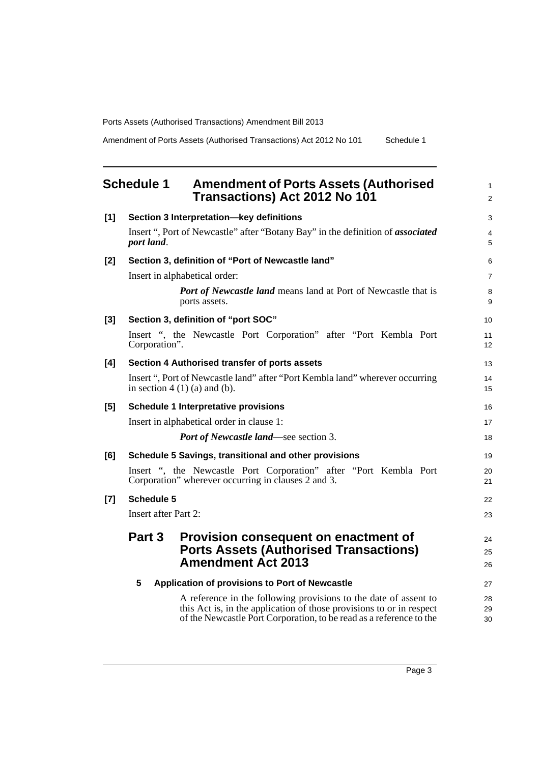Amendment of Ports Assets (Authorised Transactions) Act 2012 No 101 Schedule 1

<span id="page-6-0"></span>

|       | <b>Schedule 1</b><br><b>Amendment of Ports Assets (Authorised</b><br><b>Transactions) Act 2012 No 101</b>                                                                                                       |                |
|-------|-----------------------------------------------------------------------------------------------------------------------------------------------------------------------------------------------------------------|----------------|
| [1]   | Section 3 Interpretation-key definitions                                                                                                                                                                        | 3              |
|       | Insert ", Port of Newcastle" after "Botany Bay" in the definition of <i>associated</i><br>port land.                                                                                                            | 4<br>5         |
| $[2]$ | Section 3, definition of "Port of Newcastle land"                                                                                                                                                               | 6              |
|       | Insert in alphabetical order:                                                                                                                                                                                   | $\overline{7}$ |
|       | <b>Port of Newcastle land</b> means land at Port of Newcastle that is<br>ports assets.                                                                                                                          | 8<br>9         |
| $[3]$ | Section 3, definition of "port SOC"                                                                                                                                                                             | 10             |
|       | Insert ", the Newcastle Port Corporation" after "Port Kembla Port<br>Corporation".                                                                                                                              | 11<br>12       |
| [4]   | Section 4 Authorised transfer of ports assets                                                                                                                                                                   | 13             |
|       | Insert ", Port of Newcastle land" after "Port Kembla land" wherever occurring<br>in section $4(1)(a)$ and (b).                                                                                                  | 14<br>15       |
| [5]   | <b>Schedule 1 Interpretative provisions</b>                                                                                                                                                                     | 16             |
|       | Insert in alphabetical order in clause 1:                                                                                                                                                                       | 17             |
|       | <b>Port of Newcastle land—see section 3.</b>                                                                                                                                                                    | 18             |
| [6]   | Schedule 5 Savings, transitional and other provisions                                                                                                                                                           | 19             |
|       | Insert ", the Newcastle Port Corporation" after "Port Kembla Port<br>Corporation" wherever occurring in clauses 2 and 3.                                                                                        | 20<br>21       |
| $[7]$ | <b>Schedule 5</b>                                                                                                                                                                                               | 22             |
|       | Insert after Part 2:                                                                                                                                                                                            | 23             |
|       | Part 3<br><b>Provision consequent on enactment of</b><br><b>Ports Assets (Authorised Transactions)</b><br><b>Amendment Act 2013</b>                                                                             | 24<br>25<br>26 |
|       | 5<br>Application of provisions to Port of Newcastle                                                                                                                                                             | 27             |
|       | A reference in the following provisions to the date of assent to<br>this Act is, in the application of those provisions to or in respect<br>of the Newcastle Port Corporation, to be read as a reference to the | 28<br>29<br>30 |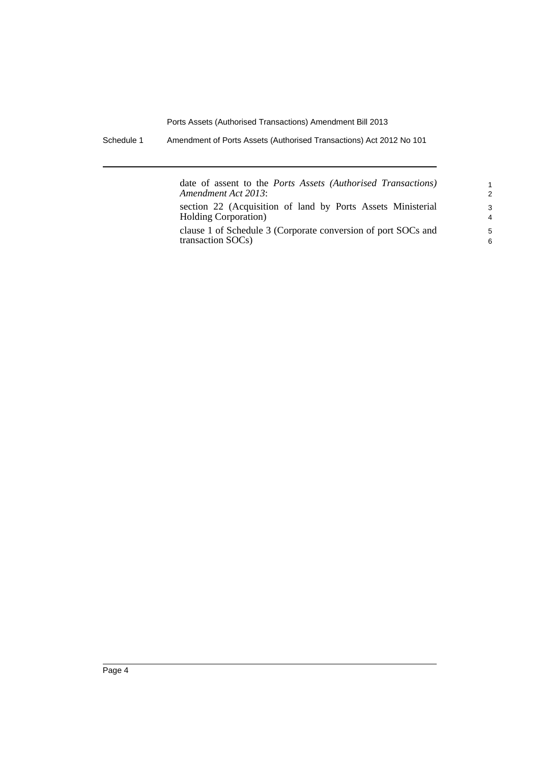Schedule 1 Amendment of Ports Assets (Authorised Transactions) Act 2012 No 101

| date of assent to the <i>Ports Assets (Authorised Transactions)</i> | $\mathbf{1}$   |
|---------------------------------------------------------------------|----------------|
| Amendment Act 2013:                                                 | 2              |
| section 22 (Acquisition of land by Ports Assets Ministerial         | 3              |
| <b>Holding Corporation</b> )                                        | $\overline{4}$ |
| clause 1 of Schedule 3 (Corporate conversion of port SOCs and       | 5              |
| transaction SOCs)                                                   | 6              |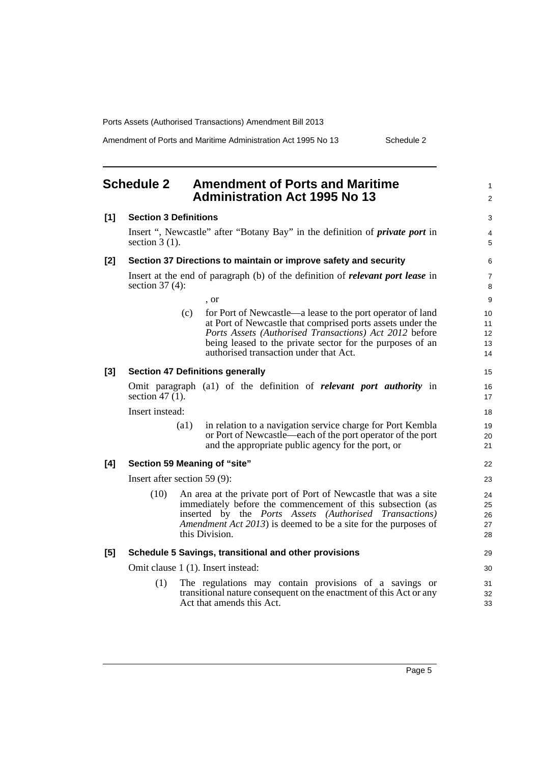Amendment of Ports and Maritime Administration Act 1995 No 13 Schedule 2

1  $\mathfrak{p}$ 

 $\overline{a}$ 4 5

#### <span id="page-8-0"></span>**Schedule 2 Amendment of Ports and Maritime Administration Act 1995 No 13 [1] Section 3 Definitions** Insert ", Newcastle" after "Botany Bay" in the definition of *private port* in section 3 (1). **[2] Section 37 Directions to maintain or improve safety and security** Insert at the end of paragraph (b) of the definition of *relevant port lease* in section 37 (4): , or (c) for Port of Newcastle—a lease to the port operator of land at Port of Newcastle that comprised ports assets under the *Ports Assets (Authorised Transactions) Act 2012* before being leased to the private sector for the purposes of an authorised transaction under that Act. **[3] Section 47 Definitions generally** Omit paragraph (a1) of the definition of *relevant port authority* in section 47 (1). Insert instead: (a1) in relation to a navigation service charge for Port Kembla or Port of Newcastle—each of the port operator of the port and the appropriate public agency for the port, or **[4] Section 59 Meaning of "site"** Insert after section 59 (9): (10) An area at the private port of Port of Newcastle that was a site immediately before the commencement of this subsection (as inserted by the *Ports Assets (Authorised Transactions) Amendment Act 2013*) is deemed to be a site for the purposes of this Division. **[5] Schedule 5 Savings, transitional and other provisions** Omit clause 1 (1). Insert instead: (1) The regulations may contain provisions of a savings or transitional nature consequent on the enactment of this Act or any Act that amends this Act.